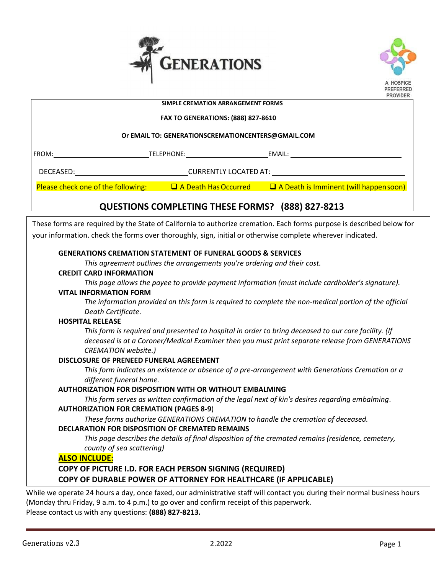



## **PROVIDER**  $\overline{a}$  **SIMPLE CREMATION ARRANGEMENT FORMS FAX TO GENERATIONS: (888) 827-8610 Or EMAIL TO: GENERATIONSCREMATIONCENTERS@GMAIL.COM** FROM: TELEPHONE: EMAIL: DECEASED: CURRENTLY LOCATED AT: Please check one of the following:  $\square$  A Death Has Occurred  $\square$  A Death is Imminent (will happensoon) **QUESTIONS COMPLETING THESE FORMS? (888) 827-8213**These forms are required by the State of California to authorize cremation. Each forms purpose is described below for your information. check the forms over thoroughly, sign, initial or otherwise complete wherever indicated. **GENERATIONS CREMATION STATEMENT OF FUNERAL GOODS & SERVICES** *This agreement outlines the arrangements you're ordering and their cost.* **CREDIT CARD INFORMATION** *This page allows the payee to provide payment information (must include cardholder's signature).* **VITAL INFORMATION FORM** *The information provided on this form is required to complete the non-medical portion of the official Death Certificate*. **HOSPITAL RELEASE** *This form is required and presented to hospital in order to bring deceased to our care facility. (If deceased is at a Coroner/Medical Examiner then you must print separate release from GENERATIONS CREMATION website.)* **DISCLOSURE OF PRENEED FUNERAL AGREEMENT** *This form indicates an existence or absence of a pre-arrangement with Generations Cremation or a different funeral home.* **AUTHORIZATION FOR DISPOSITION WITH OR WITHOUT EMBALMING** *This form serves as written confirmation of the legal next of kin's desires regarding embalming*. **AUTHORIZATION FOR CREMATION (PAGES 8-9**) *These forms authorize GENERATIONS CREMATION to handle the cremation of deceased.* **DECLARATION FOR DISPOSITION OF CREMATED REMAINS** *This page describes the details of final disposition of the cremated remains (residence, cemetery, county of sea scattering)* **ALSO INCLUDE: COPY OF PICTURE I.D. FOR EACH PERSON SIGNING (REQUIRED) COPY OF DURABLE POWER OF ATTORNEY FOR HEALTHCARE (IF APPLICABLE)**

While we operate 24 hours a day, once faxed, our administrative staff will contact you during their normal business hours (Monday thru Friday, 9 a.m. to 4 p.m.) to go over and confirm receipt of this paperwork. Please contact us with any questions: **(888) 827-8213.**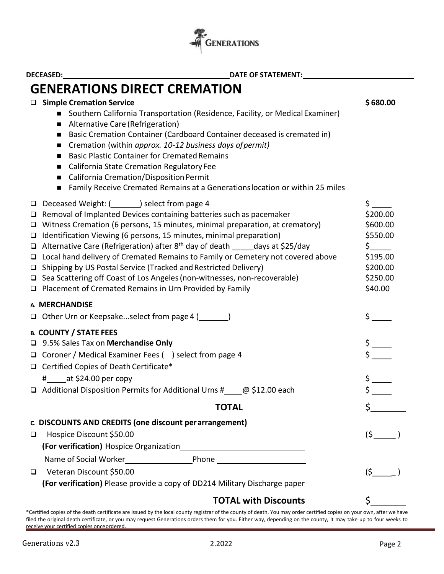

|                                                              | <b>GENERATIONS DIRECT CREMATION</b>                                                                                                                                                                                                                                                                                                                                                                                                                                                                                                                                                                                                                                                                          |                                                                                             |
|--------------------------------------------------------------|--------------------------------------------------------------------------------------------------------------------------------------------------------------------------------------------------------------------------------------------------------------------------------------------------------------------------------------------------------------------------------------------------------------------------------------------------------------------------------------------------------------------------------------------------------------------------------------------------------------------------------------------------------------------------------------------------------------|---------------------------------------------------------------------------------------------|
| $\blacksquare$<br>$\blacksquare$<br>п<br>п<br>$\blacksquare$ | □ Simple Cremation Service<br>■ Southern California Transportation (Residence, Facility, or Medical Examiner)<br>Alternative Care (Refrigeration)<br>Basic Cremation Container (Cardboard Container deceased is cremated in)<br>Cremation (within approx. 10-12 business days of permit)<br><b>Basic Plastic Container for Cremated Remains</b><br>■ California State Cremation Regulatory Fee<br>California Cremation/Disposition Permit<br>Family Receive Cremated Remains at a Generations location or within 25 miles                                                                                                                                                                                    | \$680.00                                                                                    |
| $\Box$                                                       | □ Deceased Weight: (_________) select from page 4<br>$\Box$ Removal of Implanted Devices containing batteries such as pacemaker<br>Witness Cremation (6 persons, 15 minutes, minimal preparation, at crematory)<br>$\Box$ Identification Viewing (6 persons, 15 minutes, minimal preparation)<br>$\Box$ Alternative Care (Refrigeration) after 8 <sup>th</sup> day of death _____ days at \$25/day<br>□ Local hand delivery of Cremated Remains to Family or Cemetery not covered above<br>□ Shipping by US Postal Service (Tracked and Restricted Delivery)<br>□ Sea Scattering off Coast of Los Angeles (non-witnesses, non-recoverable)<br>$\Box$ Placement of Cremated Remains in Urn Provided by Family | \$<br>\$200.00<br>\$600.00<br>\$550.00<br>\$<br>\$195.00<br>\$200.00<br>\$250.00<br>\$40.00 |
| A MERCHANDISE                                                |                                                                                                                                                                                                                                                                                                                                                                                                                                                                                                                                                                                                                                                                                                              |                                                                                             |
|                                                              | □ Other Urn or Keepsakeselect from page 4 (________)                                                                                                                                                                                                                                                                                                                                                                                                                                                                                                                                                                                                                                                         |                                                                                             |
|                                                              | <b>B. COUNTY / STATE FEES</b><br>□ 9.5% Sales Tax on Merchandise Only<br>□ Coroner / Medical Examiner Fees () select from page 4<br>□ Certified Copies of Death Certificate*<br>$\frac{4}{1}$ at \$24.00 per copy<br>$\Box$ Additional Disposition Permits for Additional Urns # $\Box$ @ \$12.00 each                                                                                                                                                                                                                                                                                                                                                                                                       |                                                                                             |
|                                                              |                                                                                                                                                                                                                                                                                                                                                                                                                                                                                                                                                                                                                                                                                                              |                                                                                             |
|                                                              | <b>TOTAL</b>                                                                                                                                                                                                                                                                                                                                                                                                                                                                                                                                                                                                                                                                                                 |                                                                                             |
| ❏                                                            | c. DISCOUNTS AND CREDITS (one discount per arrangement)<br>Hospice Discount \$50.00                                                                                                                                                                                                                                                                                                                                                                                                                                                                                                                                                                                                                          | (5)                                                                                         |
|                                                              |                                                                                                                                                                                                                                                                                                                                                                                                                                                                                                                                                                                                                                                                                                              |                                                                                             |
| $\Box$                                                       | Veteran Discount \$50.00<br>(For verification) Please provide a copy of DD214 Military Discharge paper                                                                                                                                                                                                                                                                                                                                                                                                                                                                                                                                                                                                       | (5)                                                                                         |
|                                                              | <b>TOTAL with Discounts</b>                                                                                                                                                                                                                                                                                                                                                                                                                                                                                                                                                                                                                                                                                  |                                                                                             |

\*Certified copies of the death certificate are issued by the local county registrar of the county of death. You may order certified copies on your own, after we have filed the original death certificate, or you may request Generations orders them for you. Either way, depending on the county, it may take up to four weeks to receive your certified copies onceordered.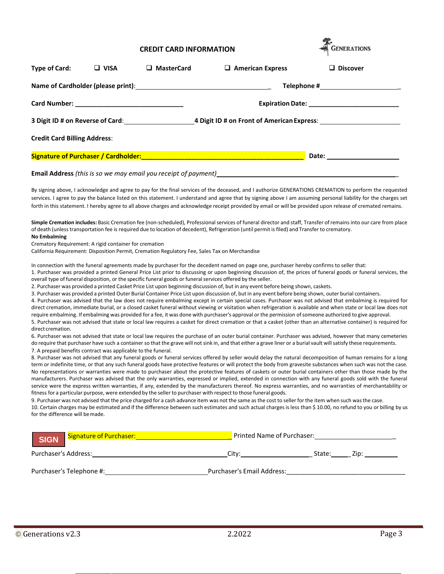#### **CREDIT CARD INFORMATION**

| <b>GENERATIONS</b> |  |
|--------------------|--|
|                    |  |

| <b>Type of Card:</b>                | <b>VISA</b> | <b>MasterCard</b> | $\Box$ American Express | <b>Discover</b> |
|-------------------------------------|-------------|-------------------|-------------------------|-----------------|
|                                     |             |                   |                         |                 |
|                                     |             |                   |                         |                 |
|                                     |             |                   |                         |                 |
| <b>Credit Card Billing Address:</b> |             |                   |                         |                 |
|                                     |             |                   |                         |                 |
|                                     |             |                   |                         |                 |

By signing above, I acknowledge and agree to pay for the final services of the deceased, and I authorize GENERATIONS CREMATION to perform the requested services. I agree to pay the balance listed on this statement. I understand and agree that by signing above I am assuming personal liability for the charges set forth in this statement. I hereby agree to all above charges and acknowledge receipt provided by email or will be provided upon release of cremated remains.

**Simple Cremation includes:** Basic Cremation fee (non-scheduled), Professionalservices of funeral director and staff, Transfer of remains into our care from place of death (unlesstransportation fee is required due to location of decedent), Refrigeration (until permit isfiled) and Transfer to crematory. **No Embalming**

Crematory Requirement: A rigid container for cremation

California Requirement: Disposition Permit, Cremation Regulatory Fee, Sales Tax on Merchandise

In connection with the funeral agreements made by purchaser for the decedent named on page one, purchaser hereby confirms to seller that:

1. Purchaser was provided a printed General Price List prior to discussing or upon beginning discussion of, the prices of funeral goods or funeral services, the overall type of funeral disposition, or the specific funeral goods or funeral services offered by the seller.

2. Purchaser was provided a printed Casket Price List upon beginning discussion of, but in any event before being shown, caskets.

3. Purchaser was provided a printed Outer Burial Container Price List upon discussion of, but in any event before being shown, outer burial containers.

4. Purchaser was advised that the law does not require embalming except in certain special cases. Purchaser was not advised that embalming is required for direct cremation, immediate burial, or a closed casket funeral without viewing or visitation when refrigeration is available and when state or local law does not require embalming. If embalming was provided for a fee, it was done with purchaser's approval or the permission ofsomeone authorized to give approval. 5. Purchaser was not advised that state or local law requires a casket for direct cremation or that a casket (other than an alternative container) is required for

direct cremation.

6. Purchaser was not advised that state or local law requires the purchase of an outer burial container. Purchaser was advised, however that many cemeteries do require that purchaser have such a container so that the grave will not sink in, and that either a grave liner or a burial vault will satisfy these requirements. 7. A prepaid benefits contract was applicable to the funeral.

8. Purchaser was not advised that any funeral goods or funeral services offered by seller would delay the natural decomposition of human remains for a long term or indefinite time, or that any such funeral goods have protective features or will protect the body from gravesite substances when such was not the case. No representations or warranties were made to purchaser about the protective features of caskets or outer burial containers other than those made by the manufacturers. Purchaser was advised that the only warranties, expressed or implied, extended in connection with any funeral goods sold with the funeral service were the express written warranties, if any, extended by the manufacturers thereof. No express warranties, and no warranties of merchantability or fitness for a particular purpose, were extended by the seller to purchaser with respect to those funeral goods.

9. Purchaser was not advised that the price charged for a cash advance item was not the same asthe cost to seller forthe item when such wasthe case. 10. Certain charges may be estimated and if the difference between such estimates and such actual charges is less than \$ 10.00, no refund to you or billing by us for the difference will bemade.

| <b>SIGN</b>          | Signature of Purchaser:  | Printed Name of Purchaser: |        |      |
|----------------------|--------------------------|----------------------------|--------|------|
| Purchaser's Address: |                          | Citv:                      | State: | Zip: |
|                      | Purchaser's Telephone #: | Purchaser's Email Address: |        |      |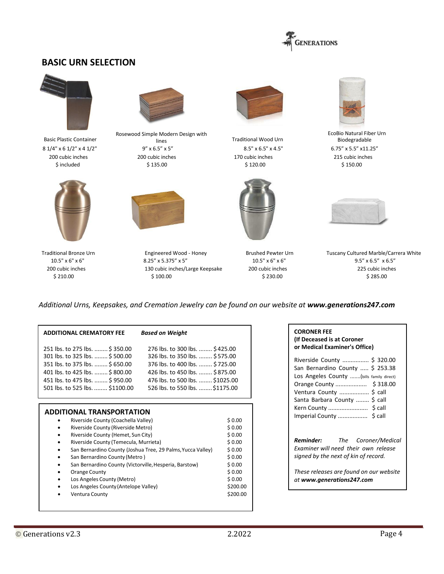

## **BASIC URN SELECTION**



Basic Plastic Container





Rosewood Simple Modern Design with  $8.1/4" \times 6.1/2" \times 4.1/2"$ <br> $8.5" \times 6.5" \times 6.5" \times 6.5" \times 6.5" \times 6.5" \times 4.5"$ <br> $8.5" \times 4.5"$ <br> $8.5" \times 4.5"$ <br> $6.75" \times 5.5" \times 11.25"$ 200 cubic inches 200 cubic inches 170 cubic inches 215 cubic inches \$ included \$ 135.00 \$ 120.00 \$ 150.00



8.25" x 5.375" x 5" 200 cubic inches 130 cubic inches/Large Keepsake 200 cubic inches 225 cubic inches  $$ 100.00$   $$ 285.00$ 



lines Traditional Wood Urn<br>
5.5" x 5" 8.5" x 6.5" x 4.5"





EcoBio Natural Fiber Urn Biodegradable



Traditional Bronze Urn Engineered Wood - Honey Brushed Pewter Urn Tuscany Cultured Marble/Carrera White

*Additional Urns, Keepsakes, and Cremation Jewelry can be found on our website at [www.generations247.com](http://www.generations247.com/)*

| <b>ADDITIONAL CREMATORY FEE</b> | <b>Based on Weight</b>          |
|---------------------------------|---------------------------------|
| 251 lbs. to 275 lbs.  \$350.00  | 276 lbs. to 300 lbs.  \$425.00  |
| 301 lbs. to 325 lbs.  \$500.00  | 326 lbs. to 350 lbs.  \$575.00  |
| 351 lbs. to 375 lbs.  \$650.00  | 376 lbs. to 400 lbs.  \$725.00  |
| 401 lbs. to 425 lbs.  \$800.00  | 426 lbs. to 450 lbs.  \$875.00  |
| 451 lbs. to 475 lbs.  \$950.00  | 476 lbs. to 500 lbs.  \$1025.00 |
| 501 lbs. to 525 lbs.  \$1100.00 | 526 lbs. to 550 lbs.  \$1175.00 |

| Riverside County (Coachella Valley)                         | \$0.00   |
|-------------------------------------------------------------|----------|
| Riverside County (Riverside Metro)                          | \$0.00   |
| Riverside County (Hemet, Sun City)<br>٠                     | \$0.00   |
| Riverside County (Temecula, Murrieta)<br>٠                  | \$0.00   |
| San Bernardino County (Joshua Tree, 29 Palms, Yucca Valley) | \$0.00   |
| San Bernardino County (Metro)<br>٠                          | \$0.00   |
| San Bernardino County (Victorville, Hesperia, Barstow)<br>٠ | \$0.00   |
| Orange County<br>٠                                          | \$0.00   |
| Los Angeles County (Metro)                                  | \$0.00   |
| Los Angeles County (Antelope Valley)                        | \$200.00 |
| <b>Ventura County</b>                                       | \$200.00 |

#### **CORONER FEE (If Deceased is at Coroner or Medical Examiner's Office)**

| Riverside County  \$ 320.00<br>San Bernardino County  \$ 253.38 |
|-----------------------------------------------------------------|
| Los Angeles County  (bills family direct)                       |
|                                                                 |
| Ventura County  \$ call                                         |
| Santa Barbara County  \$ call                                   |
|                                                                 |
|                                                                 |
|                                                                 |

*Reminder: The Coroner/Medical Examiner will need their own release signed by the next of kin of record.*

*These releases are found on our website at [www.generations247.com](http://www.generations247.com/)*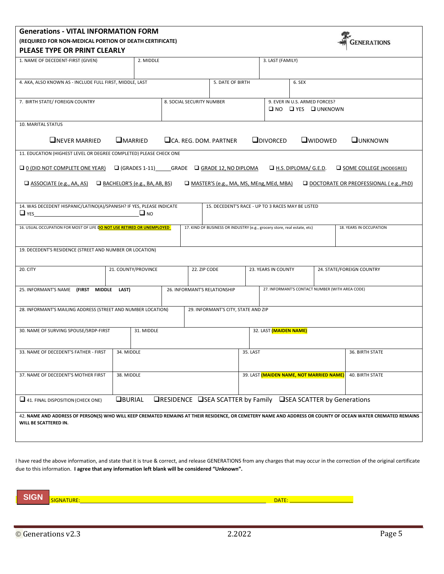## **Generations - VITAL INFORMATION FORM (REQUIRED FOR NON-MEDICAL PORTION OF DEATH CERTIFICATE)**



| PLEASE TYPE OR PRINT CLEARLY                                                                                                                                                         |                                      |                                                        |                                                                          |                        |                                                                      |                                               |
|--------------------------------------------------------------------------------------------------------------------------------------------------------------------------------------|--------------------------------------|--------------------------------------------------------|--------------------------------------------------------------------------|------------------------|----------------------------------------------------------------------|-----------------------------------------------|
| 1. NAME OF DECEDENT-FIRST (GIVEN)                                                                                                                                                    | 2. MIDDLE                            |                                                        |                                                                          | 3. LAST (FAMILY)       |                                                                      |                                               |
| 4. AKA, ALSO KNOWN AS - INCLUDE FULL FIRST, MIDDLE, LAST                                                                                                                             |                                      |                                                        | 5. DATE OF BIRTH                                                         |                        | 6. SEX                                                               |                                               |
| 7. BIRTH STATE/ FOREIGN COUNTRY                                                                                                                                                      |                                      | 8. SOCIAL SECURITY NUMBER                              |                                                                          |                        | 9. EVER IN U.S. ARMED FORCES?<br>$\Box$ NO $\Box$ YES $\Box$ UNKNOWN |                                               |
| 10. MARITAL STATUS                                                                                                                                                                   |                                      |                                                        |                                                                          |                        |                                                                      |                                               |
| <b>ONEVER MARRIED</b>                                                                                                                                                                | <b>OMARRIED</b>                      | <b>QCA. REG. DOM. PARTNER</b>                          |                                                                          | <b>QDIVORCED</b>       | <b>Q</b> WIDOWED                                                     | <b>QUNKNOWN</b>                               |
| 11. EDUCATION (HIGHEST LEVEL OR DEGREE COMPLETED) PLEASE CHECK ONE                                                                                                                   |                                      |                                                        |                                                                          |                        |                                                                      |                                               |
| $\Box$ 0 (DID NOT COMPLETE ONE YEAR)                                                                                                                                                 |                                      | $\Box$ (GRADES 1-11) GRADE $\Box$ GRADE 12, NO DIPLOMA |                                                                          |                        | $\Box$ H.S. DIPLOMA/ G.E.D.                                          | $\Box$ SOME COLLEGE (NODEGREE)                |
| $\Box$ ASSOCIATE (e.g., AA, AS)                                                                                                                                                      | $\Box$ BACHELOR'S (e.g., BA, AB, BS) |                                                        | $\Box$ MASTER'S (e.g., MA, MS, MEng, MEd, MBA)                           |                        |                                                                      | $\Box$ DOCTORATE OR PREOFESSIONAL (e.g., PhD) |
| 14. WAS DECEDENT HISPANIC/LATINO(A)/SPANISH? IF YES, PLEASE INDICATE<br>$\Box$ YES                                                                                                   | $\Box$ NO                            |                                                        | 15. DECEDENT'S RACE - UP TO 3 RACES MAY BE LISTED                        |                        |                                                                      |                                               |
| 16. USUAL OCCUPATION FOR MOST OF LIFE DO NOT USE RETIRED OR UNEMPLOYED                                                                                                               |                                      |                                                        | 17. KIND OF BUSINESS OR INDUSTRY (e.g., grocery store, real estate, etc) |                        |                                                                      | 18. YEARS IN OCCUPATION                       |
| 19. DECEDENT'S RESIDENCE (STREET AND NUMBER OR LOCATION)                                                                                                                             |                                      |                                                        |                                                                          |                        |                                                                      |                                               |
| 20. CITY                                                                                                                                                                             | 21. COUNTY/PROVINCE                  | 22. ZIP CODE                                           |                                                                          | 23. YEARS IN COUNTY    |                                                                      | 24. STATE/FOREIGN COUNTRY                     |
|                                                                                                                                                                                      |                                      |                                                        |                                                                          |                        |                                                                      |                                               |
| 25. INFORMANT'S NAME (FIRST                                                                                                                                                          | MIDDLE LAST)                         | 26. INFORMANT'S RELATIONSHIP                           |                                                                          |                        | 27. INFORMANT'S CONTACT NUMBER (WITH AREA CODE)                      |                                               |
| 28. INFORMANT'S MAILING ADDRESS (STREET AND NUMBER LOCATION)                                                                                                                         |                                      |                                                        | 29. INFORMANT'S CITY, STATE AND ZIP                                      |                        |                                                                      |                                               |
|                                                                                                                                                                                      |                                      |                                                        |                                                                          |                        |                                                                      |                                               |
| 30. NAME OF SURVING SPOUSE/SRDP-FIRST                                                                                                                                                | 31. MIDDLE                           |                                                        |                                                                          | 32. LAST (MAIDEN NAME) |                                                                      |                                               |
| 33. NAME OF DECEDENT'S FATHER - FIRST                                                                                                                                                | 34. MIDDLE                           |                                                        | 35. LAST                                                                 |                        |                                                                      | 36. BIRTH STATE                               |
| 37. NAME OF DECEDENT'S MOTHER FIRST                                                                                                                                                  | 38. MIDDLE                           |                                                        |                                                                          |                        | 39. LAST (MAIDEN NAME, NOT MARRIED NAME)                             | <b>40. BIRTH STATE</b>                        |
|                                                                                                                                                                                      |                                      |                                                        |                                                                          |                        |                                                                      |                                               |
| $\Box$ 41. FINAL DISPOSITION (CHECK ONE)                                                                                                                                             | <b>OBURIAL</b>                       |                                                        |                                                                          |                        | <b>QRESIDENCE</b> QSEA SCATTER by Family QSEA SCATTER by Generations |                                               |
| 42. NAME AND ADDRESS OF PERSON(S) WHO WILL KEEP CREMATED REMAINS AT THEIR RESIDENCE, OR CEMETERY NAME AND ADDRESS OR COUNTY OF OCEAN WATER CREMATED REMAINS<br>WILL BE SCATTERED IN. |                                      |                                                        |                                                                          |                        |                                                                      |                                               |

I have read the above information, and state that it is true & correct, and release GENERATIONS from any charges that may occur in the correction of the original certificate due to this information. **I agree that any information left blank will be considered "Unknown".**

**SIGN** SIGNATURE: DATE: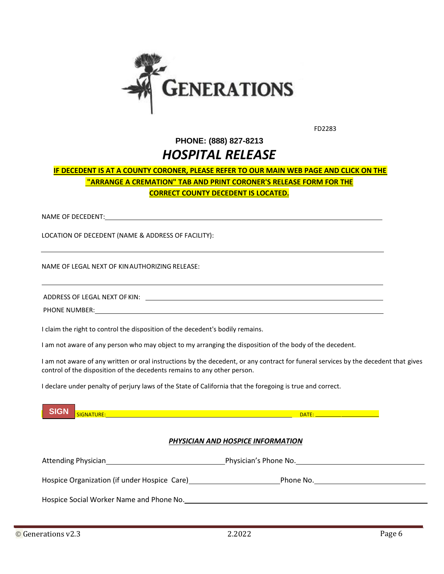

FD2283

## **PHONE: (888) 827-8213** *HOSPITAL RELEASE*

## **IF DECEDENT IS AT A COUNTY CORONER, PLEASE REFER TO OUR MAIN WEB PAGE AND CLICK ON THE "ARRANGE A CREMATION" TAB AND PRINT CORONER'S RELEASE FORM FOR THE CORRECT COUNTY DECEDENT IS LOCATED.**

NAME OF DECEDENT:

LOCATION OF DECEDENT (NAME & ADDRESS OF FACILITY):

NAME OF LEGAL NEXT OF KINAUTHORIZING RELEASE:

ADDRESS OF LEGAL NEXT OF KIN:

PHONE NUMBER:

l

I claim the right to control the disposition of the decedent's bodily remains.

I am not aware of any person who may object to my arranging the disposition of the body of the decedent.

I am not aware of any written or oral instructions by the decedent, or any contract for funeral services by the decedent that gives control of the disposition of the decedents remains to any other person.

I declare under penalty of perjury laws of the State of California that the foregoing is true and correct.



### *PHYSICIAN AND HOSPICE INFORMATION*

| Attending Physician                          | Physician's Phone No. |  |
|----------------------------------------------|-----------------------|--|
| Hospice Organization (if under Hospice Care) | Phone No.             |  |
| Hospice Social Worker Name and Phone No.     |                       |  |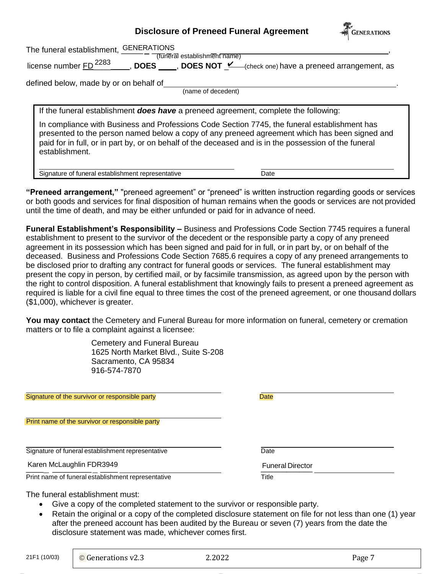## **Disclosure of Preneed Funeral Agreement**



| <b>GENERATIONS</b><br>The funeral establishment,<br>(funeral establishment name)                                                                                                                                                                                                                                                                                                                                       |
|------------------------------------------------------------------------------------------------------------------------------------------------------------------------------------------------------------------------------------------------------------------------------------------------------------------------------------------------------------------------------------------------------------------------|
| license number FD <sup>2283</sup><br><b>DOES</b> , DOES NOT <u>Lequilled</u> (check one) have a preneed arrangement, as                                                                                                                                                                                                                                                                                                |
| defined below, made by or on behalf of<br>(name of decedent)                                                                                                                                                                                                                                                                                                                                                           |
| If the funeral establishment <b>does have</b> a preneed agreement, complete the following:<br>In compliance with Business and Professions Code Section 7745, the funeral establishment has<br>presented to the person named below a copy of any preneed agreement which has been signed and<br>paid for in full, or in part by, or on behalf of the deceased and is in the possession of the funeral<br>establishment. |
| Signature of funeral establishment representative<br>Date                                                                                                                                                                                                                                                                                                                                                              |

**"Preneed arrangement,"** "preneed agreement" or "preneed" is written instruction regarding goods or services or both goods and services for final disposition of human remains when the goods or services are not provided until the time of death, and may be either unfunded or paid for in advance of need.

**Funeral Establishment's Responsibility –** Business and Professions Code Section 7745 requires a funeral establishment to present to the survivor of the decedent or the responsible party a copy of any preneed agreement in its possession which has been signed and paid for in full, or in part by, or on behalf of the deceased. Business and Professions Code Section 7685.6 requires a copy of any preneed arrangements to be disclosed prior to drafting any contract for funeral goods or services. The funeral establishment may present the copy in person, by certified mail, or by facsimile transmission, as agreed upon by the person with the right to control disposition. A funeral establishment that knowingly fails to present a preneed agreement as required is liable for a civil fine equal to three times the cost of the preneed agreement, or one thousand dollars (\$1,000), whichever is greater.

**You may contact** the Cemetery and Funeral Bureau for more information on funeral, cemetery or cremation matters or to file a complaint against a licensee:

> Cemetery and Funeral Bureau 1625 North Market Blvd., Suite S-208 Sacramento, CA 95834 916-574-7870

Signature of the survivor or responsible party **Date** Date

Print name of the survivor or responsible party

Signature of funeral establishment representative Date

Karen McLaughlin FDR3949

Print name of funeral establishment representative Title Title

Funeral Director

The funeral establishment must:

- Give a copy of the completed statement to the survivor or responsible party.
- Retain the original or a copy of the completed disclosure statement on file for not less than one (1) year after the preneed account has been audited by the Bureau or seven (7) years from the date the disclosure statement was made, whichever comes first.

21F1 (10/03)

 $\odot$  Generations v2.3 2.2022 Page 7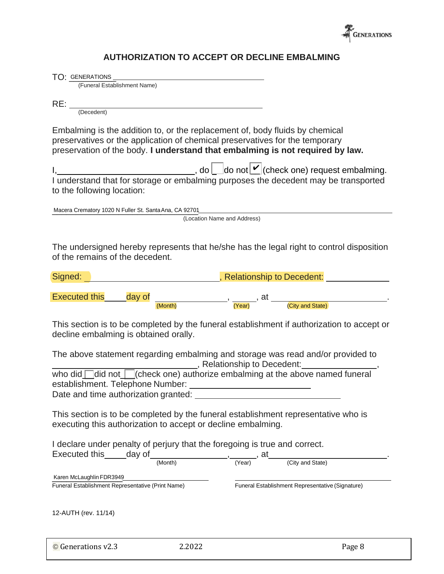

## **AUTHORIZATION TO ACCEPT OR DECLINE EMBALMING**

| TO: GENERATIONS<br>(Funeral Establishment Name)<br>$RE:$ $\frac{1}{(December)}$<br>Embalming is the addition to, or the replacement of, body fluids by chemical<br>preservatives or the application of chemical preservatives for the temporary<br>preservation of the body. I understand that embalming is not required by law. |
|----------------------------------------------------------------------------------------------------------------------------------------------------------------------------------------------------------------------------------------------------------------------------------------------------------------------------------|
|                                                                                                                                                                                                                                                                                                                                  |
|                                                                                                                                                                                                                                                                                                                                  |
|                                                                                                                                                                                                                                                                                                                                  |
|                                                                                                                                                                                                                                                                                                                                  |
| I, $\frac{1}{2}$ , do $\frac{1}{2}$ do not $\frac{1}{2}$ (check one) request embalming.<br>I understand that for storage or embalming purposes the decedent may be transported<br>to the following location:                                                                                                                     |
|                                                                                                                                                                                                                                                                                                                                  |
|                                                                                                                                                                                                                                                                                                                                  |
|                                                                                                                                                                                                                                                                                                                                  |
|                                                                                                                                                                                                                                                                                                                                  |
|                                                                                                                                                                                                                                                                                                                                  |
|                                                                                                                                                                                                                                                                                                                                  |
|                                                                                                                                                                                                                                                                                                                                  |
| Macera Crematory 1020 N Fuller St. Santa Ana, CA 92701<br>(Location Name and Address)                                                                                                                                                                                                                                            |
|                                                                                                                                                                                                                                                                                                                                  |
|                                                                                                                                                                                                                                                                                                                                  |
| The undersigned hereby represents that he/she has the legal right to control disposition                                                                                                                                                                                                                                         |
| of the remains of the decedent.                                                                                                                                                                                                                                                                                                  |
|                                                                                                                                                                                                                                                                                                                                  |
| <b>Maritain Relationship to Decedent:</b> Letter Letter Letter Letter Letter Letter Letter Letter Letter Letter Letter<br>Signed:                                                                                                                                                                                                |
|                                                                                                                                                                                                                                                                                                                                  |
| Executed this day of $\frac{1}{(Month)}$ , $\frac{1}{(Year)}$ , at $\frac{1}{(City \text{ and State})}$ .                                                                                                                                                                                                                        |
|                                                                                                                                                                                                                                                                                                                                  |
| This section is to be completed by the funeral establishment if authorization to accept or                                                                                                                                                                                                                                       |
| decline embalming is obtained orally.                                                                                                                                                                                                                                                                                            |
|                                                                                                                                                                                                                                                                                                                                  |
| The above statement regarding embalming and storage was read and/or provided to                                                                                                                                                                                                                                                  |
| who did<br>did not<br>Check one) authorize embalming at the above named funeral,<br>$\frac{1}{2}$ ,                                                                                                                                                                                                                              |
|                                                                                                                                                                                                                                                                                                                                  |
|                                                                                                                                                                                                                                                                                                                                  |
| Date and time authorization granted:                                                                                                                                                                                                                                                                                             |
|                                                                                                                                                                                                                                                                                                                                  |
| This section is to be completed by the funeral establishment representative who is                                                                                                                                                                                                                                               |
| executing this authorization to accept or decline embalming.                                                                                                                                                                                                                                                                     |
|                                                                                                                                                                                                                                                                                                                                  |
|                                                                                                                                                                                                                                                                                                                                  |
| I declare under penalty of perjury that the foregoing is true and correct.                                                                                                                                                                                                                                                       |
| Executed this day of                                                                                                                                                                                                                                                                                                             |
| $\frac{1}{(\text{Month})}$ , $\frac{1}{(\text{Year})}$ , at<br>(City and State)                                                                                                                                                                                                                                                  |
| Karen McLaughlin FDR3949                                                                                                                                                                                                                                                                                                         |
| Funeral Establishment Representative (Signature)<br>Funeral Establishment Representative (Print Name)                                                                                                                                                                                                                            |
|                                                                                                                                                                                                                                                                                                                                  |
| 12-AUTH (rev. 11/14)                                                                                                                                                                                                                                                                                                             |
|                                                                                                                                                                                                                                                                                                                                  |
|                                                                                                                                                                                                                                                                                                                                  |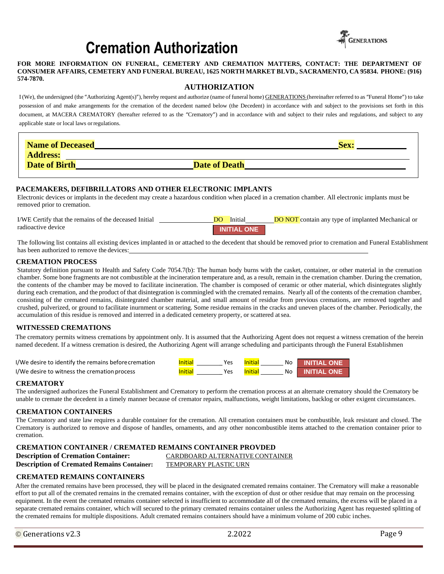# **Cremation Authorization**



#### FOR MORE INFORMATION ON FUNERAL, CEMETERY AND CREMATION MATTERS, CONTACT: THE DEPARTMENT OF **CONSUMER AFFAIRS, CEMETERY AND FUNERAL BUREAU, 1625 NORTH MARKET BLVD., SACRAMENTO, CA 95834. PHONE: (916) 574-7870.**

#### **AUTHORIZATION**

I (We), the undersigned (the "Authorizing Agent(s)"), hereby request and authorize (name of funeral home) GENERATIONS (hereinafter referred to as "Funeral Home") to take possession of and make arrangements for the cremation of the decedent named below (the Decedent) in accordance with and subject to the provisions set forth in this document, at MACERA CREMATORY (hereafter referred to as the "Crematory") and in accordance with and subject to their rules and regulations, and subject to any applicable state or local laws orregulations.

| <b>Name of Deceased</b> |                      | Sex |
|-------------------------|----------------------|-----|
| <b>Address:</b>         |                      |     |
| <b>Date of Birth</b>    | <b>Date of Death</b> |     |

#### **PACEMAKERS, DEFIBRILLATORS AND OTHER ELECTRONIC IMPLANTS**

Electronic devices or implants in the decedent may create a hazardous condition when placed in a cremation chamber. All electronic implants must be removed prior to cremation.

I/WE Certify that the remains of the deceased Initial radioactive device Initial DO NOT contain any type of implanted Mechanical or **INITIAL ONE** DO

The following list contains all existing devices implanted in or attached to the decedent that should be removed prior to cremation and Funeral Establishment has been authorized to remove the devices:

#### **CREMATION PROCESS**

Statutory definition pursuant to Health and Safety Code 7054.7(b): The human body burns with the casket, container, or other material in the cremation chamber. Some bone fragments are not combustible at the incineration temperature and, as a result, remain in the cremation chamber. During the cremation, the contents of the chamber may be moved to facilitate incineration. The chamber is composed of ceramic or other material, which disintegrates slightly during each cremation, and the product of that disintegration is commingled with the cremated remains. Nearly all of the contents of the cremation chamber, consisting of the cremated remains, disintegrated chamber material, and small amount of residue from previous cremations, are removed together and crushed, pulverized, or ground to facilitate inurnment or scattering. Some residue remains in the cracks and uneven places of the chamber. Periodically, the accumulation of this residue is removed and interred in a dedicated cemetery property, or scattered atsea.

#### **WITNESSED CREMATIONS**

The crematory permits witness cremations by appointment only. It is assumed that the Authorizing Agent does not request a witness cremation of the herein named decedent. If a witness cremation is desired, the Authorizing Agent will arrange scheduling and participants through the Funeral Establishmen

| I/We desire to identify the remains before cremation | Initia | Yes | No I | <b>INITIAL ONE</b>     |
|------------------------------------------------------|--------|-----|------|------------------------|
| I/We desire to witness the cremation process         | Initia | Yes |      | <b>No. INITIAL ONE</b> |

#### **CREMATORY**

The undersigned authorizes the Funeral Establishment and Crematory to perform the cremation process at an alternate crematory should the Crematory be unable to cremate the decedent in a timely manner because of cremator repairs, malfunctions, weight limitations, backlog or other exigent circumstances.

#### **CREMATION CONTAINERS**

The Crematory and state law requires a durable container for the cremation. All cremation containers must be combustible, leak resistant and closed. The Crematory is authorized to remove and dispose of handles, ornaments, and any other noncombustible items attached to the cremation container prior to cremation.

#### **CREMATION CONTAINER / CREMATED REMAINS CONTAINER PROVDED**

**Description of Cremation Container:** CARDBOARD ALTERNATIVE CONTAINER

**Description of Cremated Remains Container:** TEMPORARY PLASTIC URN

#### **CREMATED REMAINS CONTAINERS**

After the cremated remains have been processed, they will be placed in the designated cremated remains container. The Crematory will make a reasonable effort to put all of the cremated remains in the cremated remains container, with the exception of dust or other residue that may remain on the processing equipment. In the event the cremated remains container selected is insufficient to accommodate all of the cremated remains, the excess will be placed in a separate cremated remains container, which will secured to the primary cremated remains container unless the Authorizing Agent has requested splitting of the cremated remains for multiple dispositions. Adult cremated remains containers should have a minimum volume of 200 cubic inches.

© Generations v2.3 2.2022 Page 9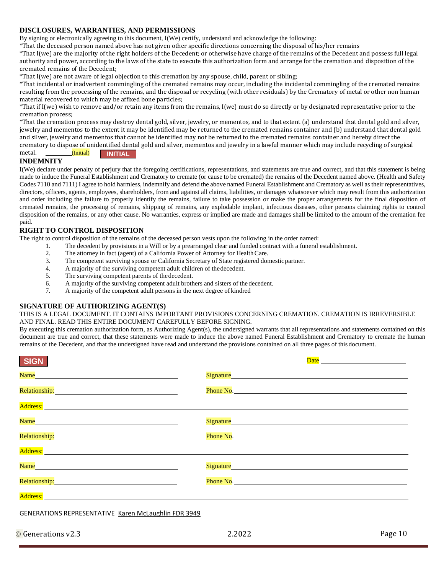#### **DISCLOSURES, WARRANTIES, AND PERMISSIONS**

By signing or electronically agreeing to this document, I(We) certify, understand and acknowledge the following:

\*That the deceased person named above has not given other specific directions concerning the disposal of his/her remains

\*That I(we) are the majority of the right holders of the Decedent; or otherwise have charge of the remains of the Decedent and possess full legal authority and power, according to the laws of the state to execute this authorization form and arrange for the cremation and disposition of the cremated remains of the Decedent;

\*That I(we) are not aware of legal objection to this cremation by any spouse, child, parent or sibling;

\*That incidental or inadvertent commingling of the cremated remains may occur, including the incidental commingling of the cremated remains resulting from the processing of the remains, and the disposal or recycling (with other residuals) by the Crematory of metal or other non human material recovered to which may be affixed bone particles;

\*That if I(we) wish to remove and/or retain any items from the remains, I(we) must do so directly or by designated representative prior to the cremation process;

\*That the cremation process may destroy dental gold, silver, jewelry, or mementos, and to that extent (a) understand that dental gold and silver, jewelry and mementos to the extent it may be identified may be returned to the cremated remains container and (b) understand that dental gold and silver, jewelry and mementos that cannot be identified may not be returned to the cremated remains container and hereby direct the crematory to dispose of unidentified dental gold and silver, mementos and jewelry in a lawful manner which may include recycling of surgical

#### **INITIAL** metal. (Initial)

#### **INDEMNITY**

I(We) declare under penalty of perjury that the foregoing certifications, representations, and statements are true and correct, and that this statement is being made to induce the Funeral Establishment and Crematory to cremate (or cause to be cremated) the remains of the Decedent named above. (Health and Safety Codes 7110 and 7111) I agree to hold harmless, indemnify and defend the above named Funeral Establishment and Crematory as well as their representatives, directors, officers, agents, employees, shareholders, from and against all claims, liabilities, or damages whatsoever which may result from this authorization and order including the failure to properly identify the remains, failure to take possession or make the proper arrangements for the final disposition of cremated remains, the processing of remains, shipping of remains, any explodable implant, infectious diseases, other persons claiming rights to control disposition of the remains, or any other cause. No warranties, express or implied are made and damages shall be limited to the amount of the cremation fee paid.

#### **RIGHT TO CONTROL DISPOSITION**

The right to control disposition of the remains of the deceased person vests upon the following in the order named:

- 1. The decedent by provisions in a Will or by a prearranged clear and funded contract with a funeral establishment.
	- 2. The attorney in fact (agent) of a California Power of Attorney for Health Care.<br>3. The competent surviving spouse or California Secretary of State registered don
	- The competent surviving spouse or California Secretary of State registered domestic partner.
	- 4. A majority of the surviving competent adult children of thedecedent.
	- 5. The surviving competent parents of thedecedent.
	- 6. A majority of the surviving competent adult brothers and sisters of the decedent.
	- 7. A majority of the competent adult persons in the next degree of kindred

#### **SIGNATURE OF AUTHORIZING AGENT(S)**

#### THIS IS A LEGAL DOCUMENT. IT CONTAINS IMPORTANT PROVISIONS CONCERNING CREMATION. CREMATION IS IRREVERSIBLE AND FINAL. READ THIS ENTIRE DOCUMENT CAREFULLY BEFORE SIGNING.

By executing this cremation authorization form, as Authorizing Agent(s), the undersigned warrants that all representations and statements contained on this document are true and correct, that these statements were made to induce the above named Funeral Establishment and Crematory to cremate the human remains of the Decedent, and that the undersigned have read and understand the provisions contained on all three pages of this document.

| SIGN                                                                                                                                                                                                                           |                                                                                                                                                                                                                                     |
|--------------------------------------------------------------------------------------------------------------------------------------------------------------------------------------------------------------------------------|-------------------------------------------------------------------------------------------------------------------------------------------------------------------------------------------------------------------------------------|
|                                                                                                                                                                                                                                |                                                                                                                                                                                                                                     |
| Relationship: Manual Manual Manual Manual Manual Manual Manual Manual Manual Manual Manual Manual Manual Manua                                                                                                                 | <b>Phone No. <i>Phone No.</i></b>                                                                                                                                                                                                   |
| Address: Andreas Andreas Andreas Andreas Andreas Andreas Andreas Andreas Andreas Andreas Andreas Andreas Andre                                                                                                                 |                                                                                                                                                                                                                                     |
|                                                                                                                                                                                                                                |                                                                                                                                                                                                                                     |
| Relationship: Manual Manual Manual Manual Manual Manual Manual Manual Manual Manual Manual Manual Manual Manua                                                                                                                 | Phone No. 2008 Committee Committee Committee Committee Committee Committee Committee Committee Committee Committee                                                                                                                  |
| Address: Andress: Address: Address: Address: Address: Address: Address: Address: Address: Address: Address: Address: Address: Address: Address: Address: Address: Address: Address: Address: Address: Address: Address: Addres |                                                                                                                                                                                                                                     |
| Name and the contract of the contract of the contract of the contract of the contract of the contract of the contract of the contract of the contract of the contract of the contract of the contract of the contract of the c |                                                                                                                                                                                                                                     |
|                                                                                                                                                                                                                                | <b>Phone No.</b> The same state of the same state of the same state of the same state of the same state of the same state of the same state of the same state of the same state of the same state of the same state of the same sta |
| <b>Address: Address: <i>Participal and <b>Participal</b></i></b>                                                                                                                                                               |                                                                                                                                                                                                                                     |
| GENERATIONS REPRESENTATIVE Karen McLaughlin FDR 3949                                                                                                                                                                           |                                                                                                                                                                                                                                     |

© Generations v2.3 2.2022 Page 10